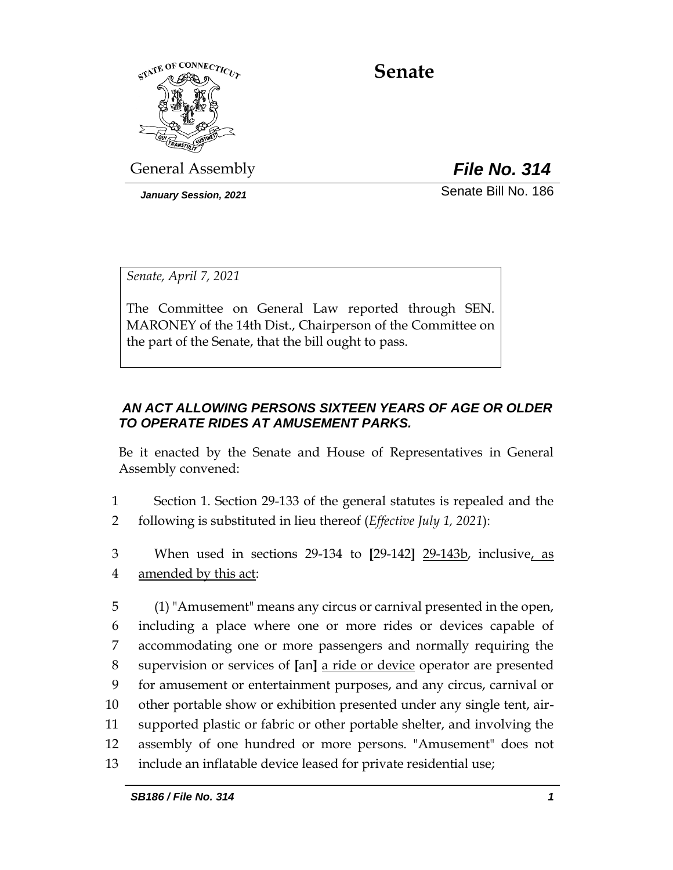

**Senate**

General Assembly *File No. 314*

*January Session, 2021* Change of Senate Bill No. 186

*Senate, April 7, 2021*

The Committee on General Law reported through SEN. MARONEY of the 14th Dist., Chairperson of the Committee on the part of the Senate, that the bill ought to pass.

## *AN ACT ALLOWING PERSONS SIXTEEN YEARS OF AGE OR OLDER TO OPERATE RIDES AT AMUSEMENT PARKS.*

Be it enacted by the Senate and House of Representatives in General Assembly convened:

1 Section 1. Section 29-133 of the general statutes is repealed and the 2 following is substituted in lieu thereof (*Effective July 1, 2021*):

3 When used in sections 29-134 to **[**29-142**]** 29-143b, inclusive, as 4 amended by this act:

 (1) "Amusement" means any circus or carnival presented in the open, including a place where one or more rides or devices capable of accommodating one or more passengers and normally requiring the supervision or services of **[**an**]** a ride or device operator are presented for amusement or entertainment purposes, and any circus, carnival or other portable show or exhibition presented under any single tent, air- supported plastic or fabric or other portable shelter, and involving the assembly of one hundred or more persons. "Amusement" does not include an inflatable device leased for private residential use;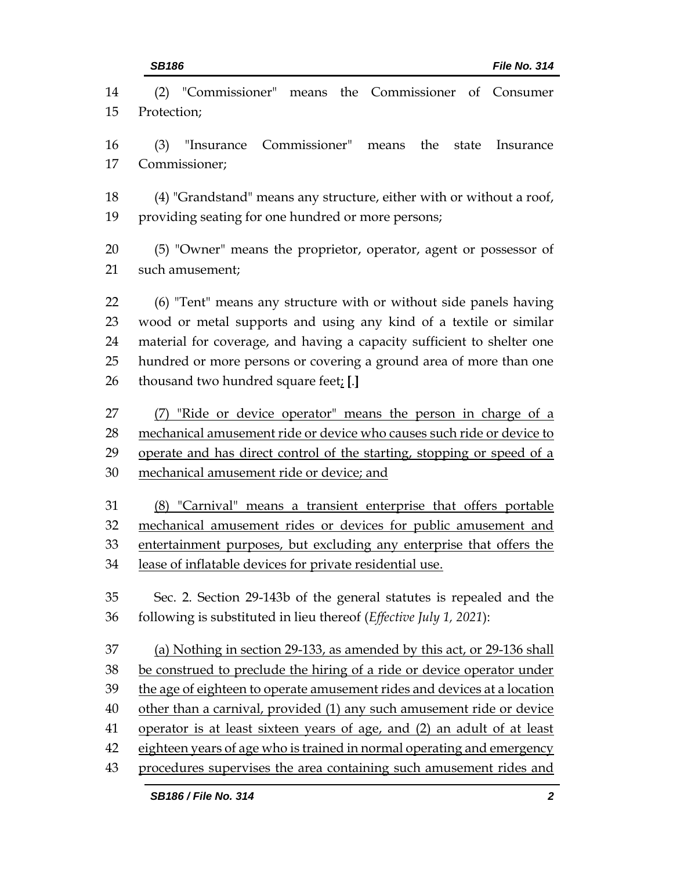(2) "Commissioner" means the Commissioner of Consumer Protection; (3) "Insurance Commissioner" means the state Insurance Commissioner; (4) "Grandstand" means any structure, either with or without a roof, providing seating for one hundred or more persons; (5) "Owner" means the proprietor, operator, agent or possessor of such amusement; (6) "Tent" means any structure with or without side panels having wood or metal supports and using any kind of a textile or similar material for coverage, and having a capacity sufficient to shelter one hundred or more persons or covering a ground area of more than one thousand two hundred square feet; **[**.**]** (7) "Ride or device operator" means the person in charge of a mechanical amusement ride or device who causes such ride or device to operate and has direct control of the starting, stopping or speed of a mechanical amusement ride or device; and (8) "Carnival" means a transient enterprise that offers portable mechanical amusement rides or devices for public amusement and entertainment purposes, but excluding any enterprise that offers the lease of inflatable devices for private residential use. Sec. 2. Section 29-143b of the general statutes is repealed and the following is substituted in lieu thereof (*Effective July 1, 2021*): (a) Nothing in section 29-133, as amended by this act, or 29-136 shall 38 be construed to preclude the hiring of a ride or device operator under the age of eighteen to operate amusement rides and devices at a location other than a carnival, provided (1) any such amusement ride or device operator is at least sixteen years of age, and (2) an adult of at least 42 eighteen years of age who is trained in normal operating and emergency procedures supervises the area containing such amusement rides and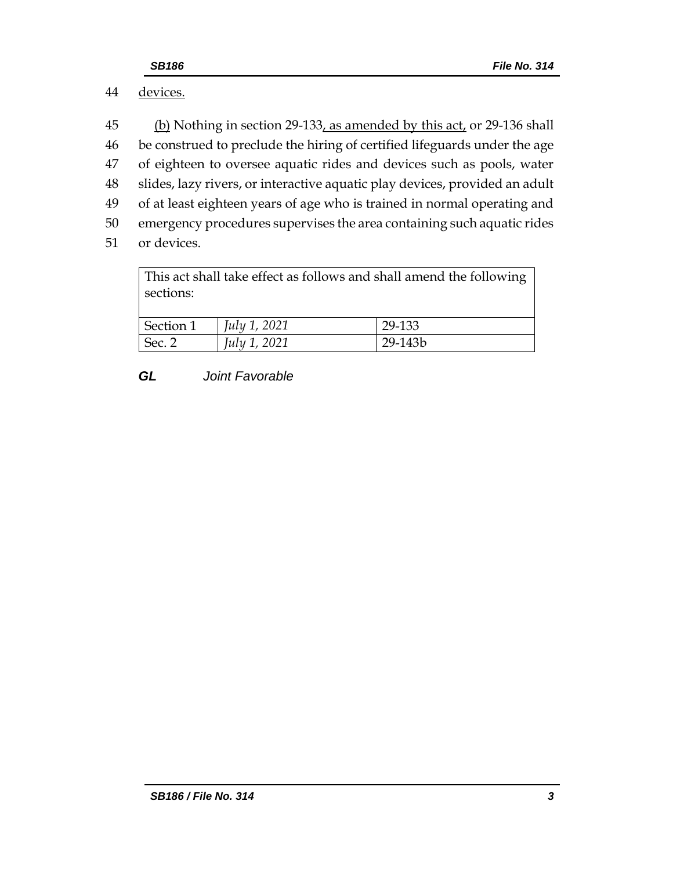# 44 devices.

45 (b) Nothing in section 29-133, as amended by this act, or 29-136 shall be construed to preclude the hiring of certified lifeguards under the age of eighteen to oversee aquatic rides and devices such as pools, water slides, lazy rivers, or interactive aquatic play devices, provided an adult of at least eighteen years of age who is trained in normal operating and emergency procedures supervises the area containing such aquatic rides or devices.

This act shall take effect as follows and shall amend the following sections:

| Section 1 | <i>July 1, 2021</i> | 29-133  |
|-----------|---------------------|---------|
| Sec. 2    | July 1, 2021        | 29-143b |

### *GL Joint Favorable*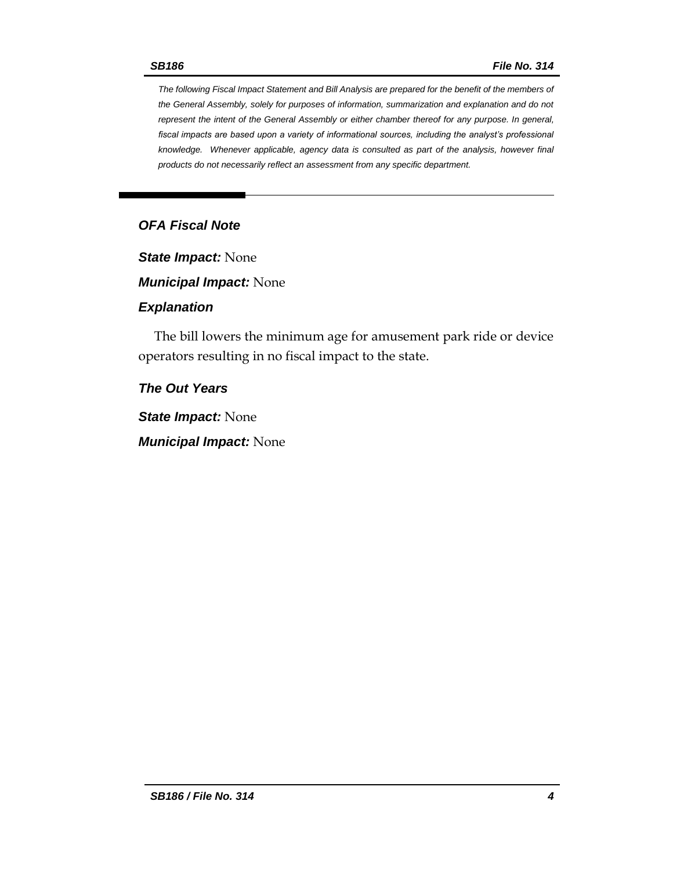*The following Fiscal Impact Statement and Bill Analysis are prepared for the benefit of the members of the General Assembly, solely for purposes of information, summarization and explanation and do not represent the intent of the General Assembly or either chamber thereof for any purpose. In general, fiscal impacts are based upon a variety of informational sources, including the analyst's professional knowledge. Whenever applicable, agency data is consulted as part of the analysis, however final products do not necessarily reflect an assessment from any specific department.*

## *OFA Fiscal Note*

*State Impact:* None

*Municipal Impact:* None

#### *Explanation*

The bill lowers the minimum age for amusement park ride or device operators resulting in no fiscal impact to the state.

*The Out Years*

*State Impact:* None

*Municipal Impact:* None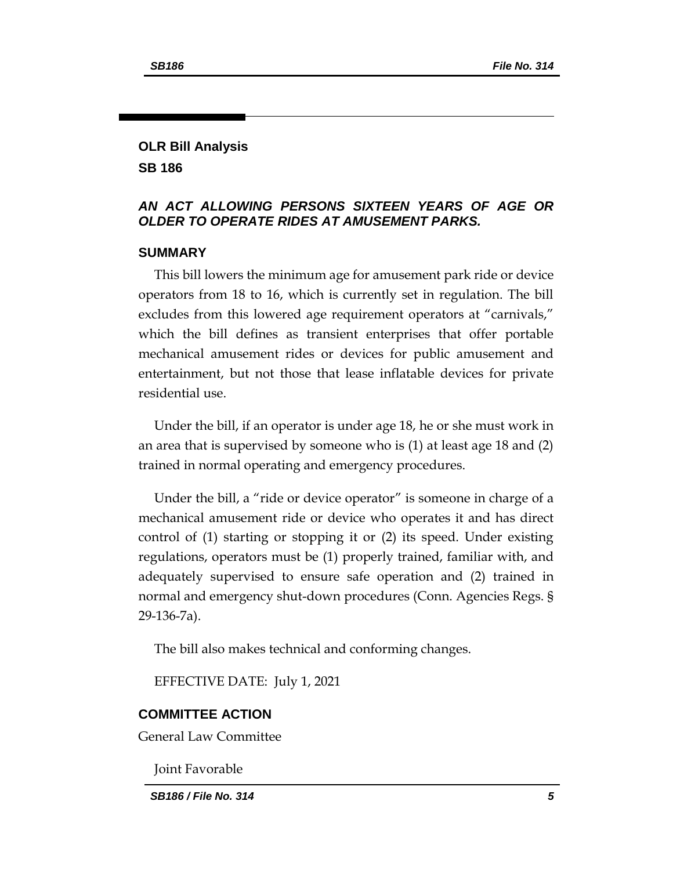### **OLR Bill Analysis SB 186**

### *AN ACT ALLOWING PERSONS SIXTEEN YEARS OF AGE OR OLDER TO OPERATE RIDES AT AMUSEMENT PARKS.*

#### **SUMMARY**

This bill lowers the minimum age for amusement park ride or device operators from 18 to 16, which is currently set in regulation. The bill excludes from this lowered age requirement operators at "carnivals," which the bill defines as transient enterprises that offer portable mechanical amusement rides or devices for public amusement and entertainment, but not those that lease inflatable devices for private residential use.

Under the bill, if an operator is under age 18, he or she must work in an area that is supervised by someone who is (1) at least age 18 and (2) trained in normal operating and emergency procedures.

Under the bill, a "ride or device operator" is someone in charge of a mechanical amusement ride or device who operates it and has direct control of (1) starting or stopping it or (2) its speed. Under existing regulations, operators must be (1) properly trained, familiar with, and adequately supervised to ensure safe operation and (2) trained in normal and emergency shut-down procedures (Conn. Agencies Regs. § 29-136-7a).

The bill also makes technical and conforming changes.

EFFECTIVE DATE: July 1, 2021

#### **COMMITTEE ACTION**

General Law Committee

Joint Favorable

*SB186 / File No. 314 5*